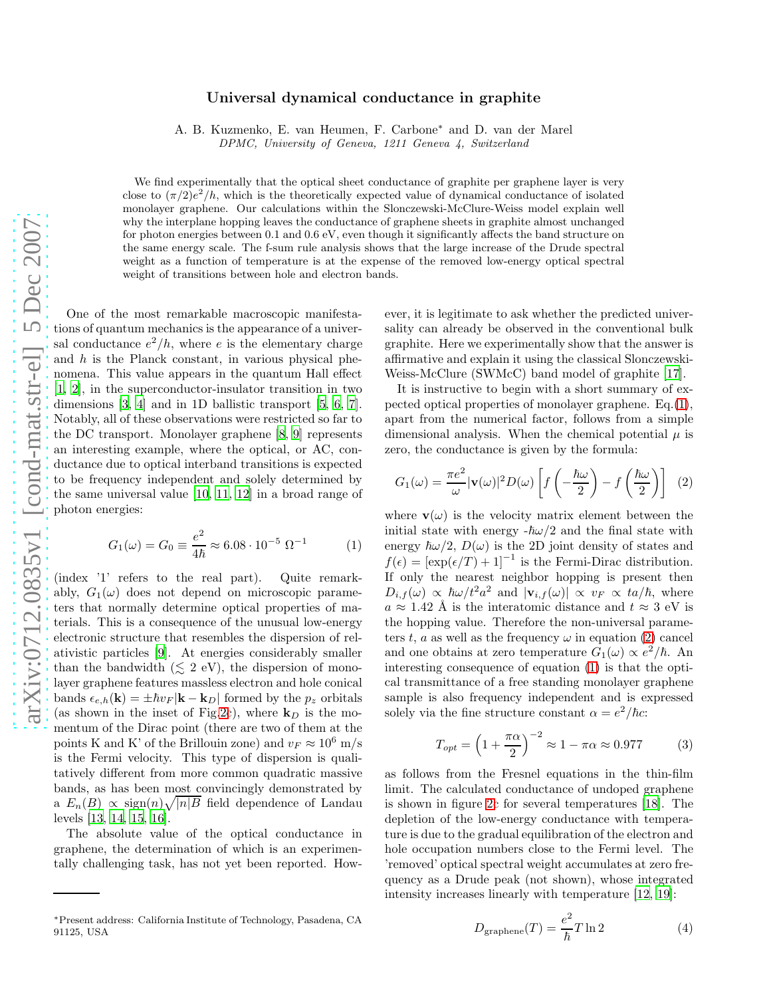## Universal dynamical conductance in graphite

A. B. Kuzmenko, E. van Heumen, F. Carbone<sup>∗</sup> and D. van der Marel

DPMC, University of Geneva, 1211 Geneva 4, Switzerland

We find experimentally that the optical sheet conductance of graphite per graphene layer is very close to  $(\pi/2)e^2/h$ , which is the theoretically expected value of dynamical conductance of isolated monolayer graphene. Our calculations within the Slonczewski-McClure-Weiss model explain well why the interplane hopping leaves the conductance of graphene sheets in graphite almost unchanged for photon energies between 0.1 and 0.6 eV, even though it significantly affects the band structure on the same energy scale. The f-sum rule analysis shows that the large increase of the Drude spectral weight as a function of temperature is at the expense of the removed low-energy optical spectral weight of transitions between hole and electron bands.

One of the most remarkable macroscopic manifestations of quantum mechanics is the appearance of a universal conductance  $e^2/h$ , where e is the elementary charge and  $h$  is the Planck constant, in various physical phenomena. This value appears in the quantum Hall effect [\[1,](#page-3-0) [2](#page-3-1)], in the superconductor-insulator transition in two dimensions [\[3,](#page-3-2) [4\]](#page-3-3) and in 1D ballistic transport [\[5,](#page-3-4) [6,](#page-3-5) [7](#page-3-6)]. Notably, all of these observations were restricted so far to the DC transport. Monolayer graphene [\[8,](#page-3-7) [9\]](#page-3-8) represents an interesting example, where the optical, or AC, conductance due to optical interband transitions is expected to be frequency independent and solely determined by the same universal value [\[10,](#page-3-9) [11,](#page-3-10) [12\]](#page-3-11) in a broad range of photon energies:

<span id="page-0-0"></span>
$$
G_1(\omega) = G_0 \equiv \frac{e^2}{4\hbar} \approx 6.08 \cdot 10^{-5} \text{ }\Omega^{-1}
$$
 (1)

(index '1' refers to the real part). Quite remarkably,  $G_1(\omega)$  does not depend on microscopic parameters that normally determine optical properties of materials. This is a consequence of the unusual low-energy electronic structure that resembles the dispersion of relativistic particles [\[9\]](#page-3-8). At energies considerably smaller than the bandwidth  $(\leq 2$  eV), the dispersion of monolayer graphene features massless electron and hole conical bands  $\epsilon_{e,h}(\mathbf{k}) = \pm \hbar v_F |\mathbf{k} - \mathbf{k}_D|$  formed by the  $p_z$  orbitals (as shown in the inset of Fig[.2c](#page-1-0)), where  $\mathbf{k}_D$  is the momentum of the Dirac point (there are two of them at the points K and K' of the Brillouin zone) and  $v_F \approx 10^6$  m/s is the Fermi velocity. This type of dispersion is qualitatively different from more common quadratic massive bands, as has been most convincingly demonstrated by a  $E_n(B) \propto \text{sign}(n)\sqrt{|n|B}$  field dependence of Landau levels [\[13,](#page-3-12) [14](#page-3-13), [15](#page-3-14), [16](#page-3-15)].

The absolute value of the optical conductance in graphene, the determination of which is an experimentally challenging task, has not yet been reported. However, it is legitimate to ask whether the predicted universality can already be observed in the conventional bulk graphite. Here we experimentally show that the answer is affirmative and explain it using the classical Slonczewski-Weiss-McClure (SWMcC) band model of graphite [\[17\]](#page-3-16).

It is instructive to begin with a short summary of expected optical properties of monolayer graphene. Eq.[\(1\)](#page-0-0), apart from the numerical factor, follows from a simple dimensional analysis. When the chemical potential  $\mu$  is zero, the conductance is given by the formula:

<span id="page-0-1"></span>
$$
G_1(\omega) = \frac{\pi e^2}{\omega} |\mathbf{v}(\omega)|^2 D(\omega) \left[ f\left(-\frac{\hbar \omega}{2}\right) - f\left(\frac{\hbar \omega}{2}\right) \right] \tag{2}
$$

where  $\mathbf{v}(\omega)$  is the velocity matrix element between the initial state with energy  $-\hbar\omega/2$  and the final state with energy  $\hbar \omega/2$ ,  $D(\omega)$  is the 2D joint density of states and  $f(\epsilon) = [\exp(\epsilon/T) + 1]^{-1}$  is the Fermi-Dirac distribution. If only the nearest neighbor hopping is present then  $D_{i,f}(\omega) \propto \hbar \omega / t^2 a^2$  and  $|\mathbf{v}_{i,f}(\omega)| \propto v_F \propto t a / \hbar$ , where  $a \approx 1.42$  Å is the interatomic distance and  $t \approx 3$  eV is the hopping value. Therefore the non-universal parameters t, a as well as the frequency  $\omega$  in equation [\(2\)](#page-0-1) cancel and one obtains at zero temperature  $G_1(\omega) \propto e^2/\hbar$ . An interesting consequence of equation [\(1\)](#page-0-0) is that the optical transmittance of a free standing monolayer graphene sample is also frequency independent and is expressed solely via the fine structure constant  $\alpha = e^2/\hbar c$ :

$$
T_{opt} = \left(1 + \frac{\pi \alpha}{2}\right)^{-2} \approx 1 - \pi \alpha \approx 0.977\tag{3}
$$

as follows from the Fresnel equations in the thin-film limit. The calculated conductance of undoped graphene is shown in figure [2c](#page-1-0) for several temperatures [\[18\]](#page-3-17). The depletion of the low-energy conductance with temperature is due to the gradual equilibration of the electron and hole occupation numbers close to the Fermi level. The 'removed' optical spectral weight accumulates at zero frequency as a Drude peak (not shown), whose integrated intensity increases linearly with temperature [\[12,](#page-3-11) [19](#page-3-18)]:

<span id="page-0-2"></span>
$$
D_{\text{graphene}}(T) = \frac{e^2}{\hbar} T \ln 2 \tag{4}
$$

<sup>∗</sup>Present address: California Institute of Technology, Pasadena, CA 91125, USA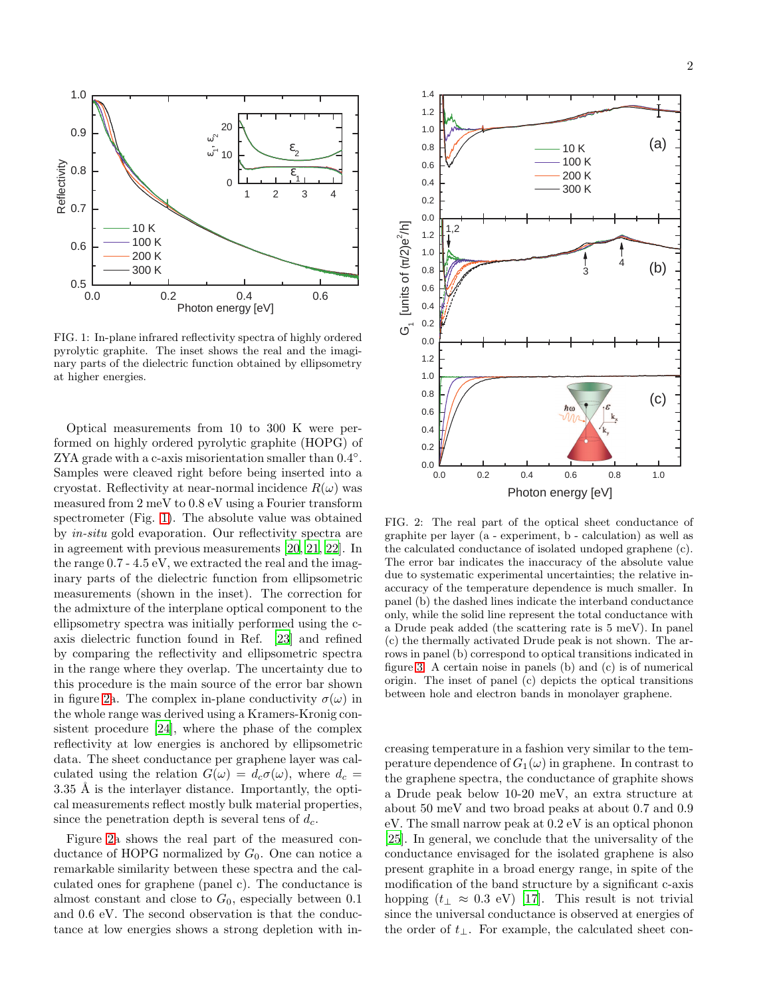

<span id="page-1-1"></span>FIG. 1: In-plane infrared reflectivity spectra of highly ordered pyrolytic graphite. The inset shows the real and the imaginary parts of the dielectric function obtained by ellipsometry at higher energies.

Optical measurements from 10 to 300 K were performed on highly ordered pyrolytic graphite (HOPG) of ZYA grade with a c-axis misorientation smaller than  $0.4°$ . Samples were cleaved right before being inserted into a cryostat. Reflectivity at near-normal incidence  $R(\omega)$  was measured from 2 meV to 0.8 eV using a Fourier transform spectrometer (Fig. [1\)](#page-1-1). The absolute value was obtained by in-situ gold evaporation. Our reflectivity spectra are in agreement with previous measurements [\[20](#page-3-19), [21,](#page-3-20) [22\]](#page-3-21). In the range 0.7 - 4.5 eV, we extracted the real and the imaginary parts of the dielectric function from ellipsometric measurements (shown in the inset). The correction for the admixture of the interplane optical component to the ellipsometry spectra was initially performed using the caxis dielectric function found in Ref. [\[23](#page-3-22)] and refined by comparing the reflectivity and ellipsometric spectra in the range where they overlap. The uncertainty due to this procedure is the main source of the error bar shown in figure [2a](#page-1-0). The complex in-plane conductivity  $\sigma(\omega)$  in the whole range was derived using a Kramers-Kronig consistent procedure [\[24\]](#page-3-23), where the phase of the complex reflectivity at low energies is anchored by ellipsometric data. The sheet conductance per graphene layer was calculated using the relation  $G(\omega) = d_c \sigma(\omega)$ , where  $d_c =$  $3.35 \text{ Å}$  is the interlayer distance. Importantly, the optical measurements reflect mostly bulk material properties, since the penetration depth is several tens of  $d_c$ .

Figure [2a](#page-1-0) shows the real part of the measured conductance of HOPG normalized by  $G_0$ . One can notice a remarkable similarity between these spectra and the calculated ones for graphene (panel c). The conductance is almost constant and close to  $G_0$ , especially between 0.1 and 0.6 eV. The second observation is that the conductance at low energies shows a strong depletion with in-



<span id="page-1-0"></span>FIG. 2: The real part of the optical sheet conductance of graphite per layer (a - experiment, b - calculation) as well as the calculated conductance of isolated undoped graphene (c). The error bar indicates the inaccuracy of the absolute value due to systematic experimental uncertainties; the relative inaccuracy of the temperature dependence is much smaller. In panel (b) the dashed lines indicate the interband conductance only, while the solid line represent the total conductance with a Drude peak added (the scattering rate is 5 meV). In panel (c) the thermally activated Drude peak is not shown. The arrows in panel (b) correspond to optical transitions indicated in figure [3.](#page-2-0) A certain noise in panels (b) and (c) is of numerical origin. The inset of panel (c) depicts the optical transitions between hole and electron bands in monolayer graphene.

creasing temperature in a fashion very similar to the temperature dependence of  $G_1(\omega)$  in graphene. In contrast to the graphene spectra, the conductance of graphite shows a Drude peak below 10-20 meV, an extra structure at about 50 meV and two broad peaks at about 0.7 and 0.9 eV. The small narrow peak at 0.2 eV is an optical phonon [\[25](#page-3-24)]. In general, we conclude that the universality of the conductance envisaged for the isolated graphene is also present graphite in a broad energy range, in spite of the modification of the band structure by a significant c-axis hopping  $(t_\perp \approx 0.3 \text{ eV})$  [\[17](#page-3-16)]. This result is not trivial since the universal conductance is observed at energies of the order of  $t_{\perp}$ . For example, the calculated sheet con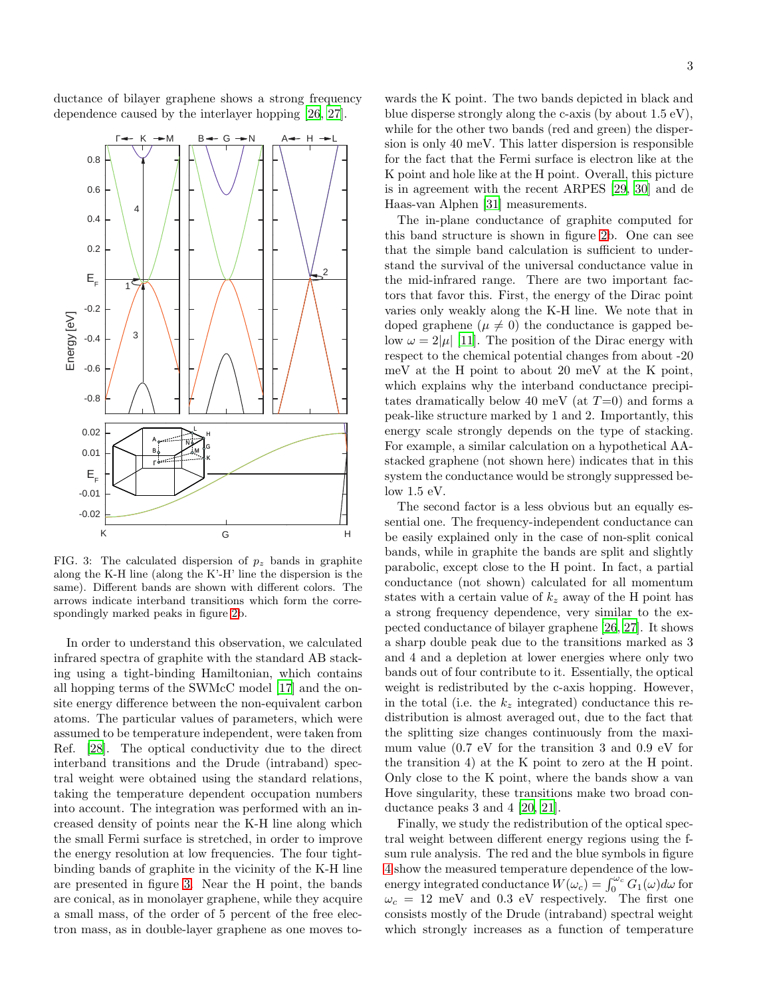ductance of bilayer graphene shows a strong frequency dependence caused by the interlayer hopping [\[26,](#page-3-25) [27\]](#page-3-26).



<span id="page-2-0"></span>FIG. 3: The calculated dispersion of  $p<sub>z</sub>$  bands in graphite along the K-H line (along the K'-H' line the dispersion is the same). Different bands are shown with different colors. The arrows indicate interband transitions which form the correspondingly marked peaks in figure [2b](#page-1-0).

In order to understand this observation, we calculated infrared spectra of graphite with the standard AB stacking using a tight-binding Hamiltonian, which contains all hopping terms of the SWMcC model [\[17\]](#page-3-16) and the onsite energy difference between the non-equivalent carbon atoms. The particular values of parameters, which were assumed to be temperature independent, were taken from Ref. [\[28\]](#page-4-0). The optical conductivity due to the direct interband transitions and the Drude (intraband) spectral weight were obtained using the standard relations, taking the temperature dependent occupation numbers into account. The integration was performed with an increased density of points near the K-H line along which the small Fermi surface is stretched, in order to improve the energy resolution at low frequencies. The four tightbinding bands of graphite in the vicinity of the K-H line are presented in figure [3.](#page-2-0) Near the H point, the bands are conical, as in monolayer graphene, while they acquire a small mass, of the order of 5 percent of the free electron mass, as in double-layer graphene as one moves to-

wards the K point. The two bands depicted in black and blue disperse strongly along the c-axis (by about 1.5 eV), while for the other two bands (red and green) the dispersion is only 40 meV. This latter dispersion is responsible for the fact that the Fermi surface is electron like at the K point and hole like at the H point. Overall, this picture is in agreement with the recent ARPES [\[29,](#page-4-1) [30\]](#page-4-2) and de Haas-van Alphen [\[31](#page-4-3)] measurements.

The in-plane conductance of graphite computed for this band structure is shown in figure [2b](#page-1-0). One can see that the simple band calculation is sufficient to understand the survival of the universal conductance value in the mid-infrared range. There are two important factors that favor this. First, the energy of the Dirac point varies only weakly along the K-H line. We note that in doped graphene ( $\mu \neq 0$ ) the conductance is gapped below  $\omega = 2|\mu|$  [\[11\]](#page-3-10). The position of the Dirac energy with respect to the chemical potential changes from about -20 meV at the H point to about 20 meV at the K point, which explains why the interband conductance precipitates dramatically below 40 meV (at  $T=0$ ) and forms a peak-like structure marked by 1 and 2. Importantly, this energy scale strongly depends on the type of stacking. For example, a similar calculation on a hypothetical AAstacked graphene (not shown here) indicates that in this system the conductance would be strongly suppressed below 1.5 eV.

The second factor is a less obvious but an equally essential one. The frequency-independent conductance can be easily explained only in the case of non-split conical bands, while in graphite the bands are split and slightly parabolic, except close to the H point. In fact, a partial conductance (not shown) calculated for all momentum states with a certain value of  $k_z$  away of the H point has a strong frequency dependence, very similar to the expected conductance of bilayer graphene [\[26](#page-3-25), [27\]](#page-3-26). It shows a sharp double peak due to the transitions marked as 3 and 4 and a depletion at lower energies where only two bands out of four contribute to it. Essentially, the optical weight is redistributed by the c-axis hopping. However, in the total (i.e. the  $k_z$  integrated) conductance this redistribution is almost averaged out, due to the fact that the splitting size changes continuously from the maximum value (0.7 eV for the transition 3 and 0.9 eV for the transition 4) at the K point to zero at the H point. Only close to the K point, where the bands show a van Hove singularity, these transitions make two broad conductance peaks 3 and 4 [\[20](#page-3-19), [21](#page-3-20)].

Finally, we study the redistribution of the optical spectral weight between different energy regions using the fsum rule analysis. The red and the blue symbols in figure [4](#page-3-27) show the measured temperature dependence of the lowenergy integrated conductance  $W(\omega_c) = \int_0^{\omega_c} G_1(\omega) d\omega$  for  $\omega_c = 12$  meV and 0.3 eV respectively. The first one consists mostly of the Drude (intraband) spectral weight which strongly increases as a function of temperature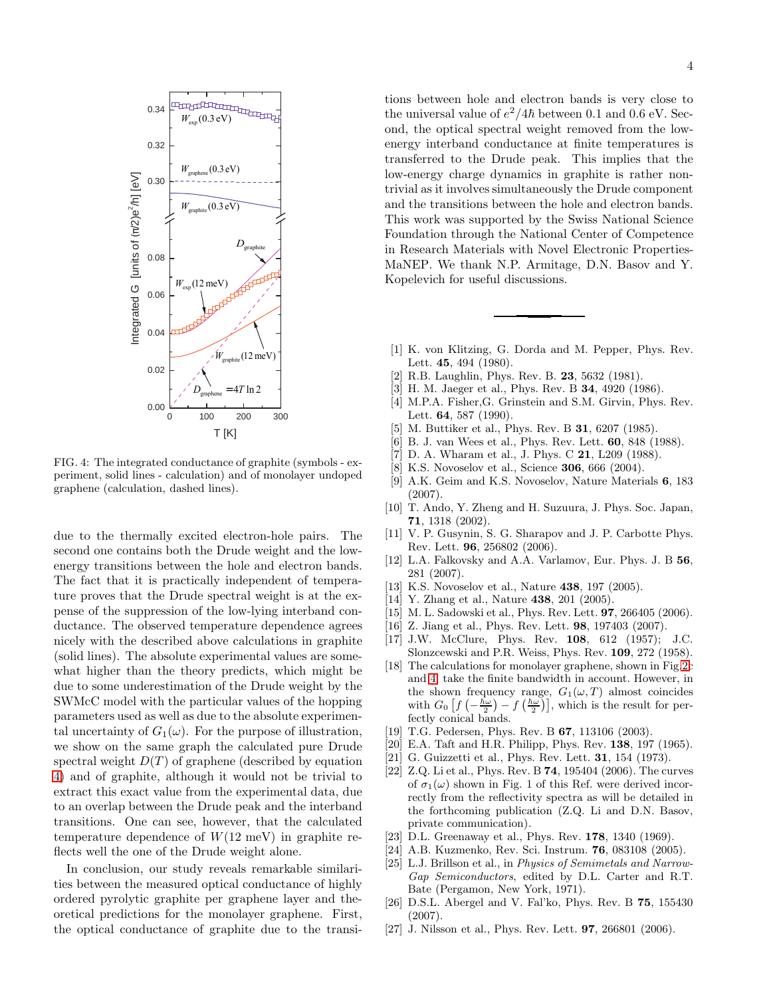

<span id="page-3-27"></span>FIG. 4: The integrated conductance of graphite (symbols - experiment, solid lines - calculation) and of monolayer undoped graphene (calculation, dashed lines).

due to the thermally excited electron-hole pairs. The second one contains both the Drude weight and the lowenergy transitions between the hole and electron bands. The fact that it is practically independent of temperature proves that the Drude spectral weight is at the expense of the suppression of the low-lying interband conductance. The observed temperature dependence agrees nicely with the described above calculations in graphite (solid lines). The absolute experimental values are somewhat higher than the theory predicts, which might be due to some underestimation of the Drude weight by the SWMcC model with the particular values of the hopping parameters used as well as due to the absolute experimental uncertainty of  $G_1(\omega)$ . For the purpose of illustration, we show on the same graph the calculated pure Drude spectral weight  $D(T)$  of graphene (described by equation [4\)](#page-0-2) and of graphite, although it would not be trivial to extract this exact value from the experimental data, due to an overlap between the Drude peak and the interband transitions. One can see, however, that the calculated temperature dependence of  $W(12 \text{ meV})$  in graphite reflects well the one of the Drude weight alone.

In conclusion, our study reveals remarkable similarities between the measured optical conductance of highly ordered pyrolytic graphite per graphene layer and theoretical predictions for the monolayer graphene. First, the optical conductance of graphite due to the transi-

tions between hole and electron bands is very close to the universal value of  $e^2/4\hbar$  between 0.1 and 0.6 eV. Second, the optical spectral weight removed from the lowenergy interband conductance at finite temperatures is transferred to the Drude peak. This implies that the low-energy charge dynamics in graphite is rather nontrivial as it involves simultaneously the Drude component and the transitions between the hole and electron bands. This work was supported by the Swiss National Science Foundation through the National Center of Competence in Research Materials with Novel Electronic Properties-MaNEP. We thank N.P. Armitage, D.N. Basov and Y. Kopelevich for useful discussions.

- <span id="page-3-0"></span>[1] K. von Klitzing, G. Dorda and M. Pepper, Phys. Rev. Lett. 45, 494 (1980).
- <span id="page-3-1"></span>[2] R.B. Laughlin, Phys. Rev. B. 23, 5632 (1981).
- <span id="page-3-2"></span>[3] H. M. Jaeger et al., Phys. Rev. B 34, 4920 (1986).
- <span id="page-3-3"></span>[4] M.P.A. Fisher,G. Grinstein and S.M. Girvin, Phys. Rev. Lett. 64, 587 (1990).
- <span id="page-3-4"></span>[5] M. Buttiker et al., Phys. Rev. B 31, 6207 (1985).
- <span id="page-3-5"></span>[6] B. J. van Wees et al., Phys. Rev. Lett. 60, 848 (1988).
- <span id="page-3-6"></span>[7] D. A. Wharam et al., J. Phys. C **21**, L209 (1988).
- <span id="page-3-7"></span>[8] K.S. Novoselov et al., Science 306, 666 (2004).
- <span id="page-3-8"></span>[9] A.K. Geim and K.S. Novoselov, Nature Materials 6, 183 (2007).
- <span id="page-3-9"></span>[10] T. Ando, Y. Zheng and H. Suzuura, J. Phys. Soc. Japan, 71, 1318 (2002).
- <span id="page-3-10"></span>[11] V. P. Gusynin, S. G. Sharapov and J. P. Carbotte Phys. Rev. Lett. 96, 256802 (2006).
- <span id="page-3-11"></span>[12] L.A. Falkovsky and A.A. Varlamov, Eur. Phys. J. B 56, 281 (2007).
- <span id="page-3-12"></span>[13] K.S. Novoselov et al., Nature **438**, 197 (2005).
- <span id="page-3-13"></span>[14] Y. Zhang et al., Nature 438, 201 (2005).
- <span id="page-3-14"></span>[15] M. L. Sadowski et al., Phys. Rev. Lett. 97, 266405 (2006).
- <span id="page-3-15"></span>[16] Z. Jiang et al., Phys. Rev. Lett. 98, 197403 (2007).
- <span id="page-3-16"></span>[17] J.W. McClure, Phys. Rev. 108, 612 (1957); J.C. Slonzcewski and P.R. Weiss, Phys. Rev. 109, 272 (1958).
- <span id="page-3-17"></span>[18] The calculations for monolayer graphene, shown in Fig[.2c](#page-1-0) and [4,](#page-3-27) take the finite bandwidth in account. However, in the shown frequency range,  $G_1(\omega, T)$  almost coincides with  $G_0 \left[ f\left(-\frac{\hbar \omega}{2}\right) - f\left(\frac{\hbar \omega}{2}\right) \right]$ , which is the result for perfectly conical bands.
- <span id="page-3-18"></span>[19] T.G. Pedersen, Phys. Rev. B **67**, 113106 (2003).
- <span id="page-3-19"></span>[20] E.A. Taft and H.R. Philipp, Phys. Rev. 138, 197 (1965).
- <span id="page-3-20"></span>[21] G. Guizzetti et al., Phys. Rev. Lett. 31, 154 (1973).
- <span id="page-3-21"></span>[22] Z.Q. Li et al., Phys. Rev. B 74, 195404 (2006). The curves of  $\sigma_1(\omega)$  shown in Fig. 1 of this Ref. were derived incorrectly from the reflectivity spectra as will be detailed in the forthcoming publication (Z.Q. Li and D.N. Basov, private communication).
- <span id="page-3-22"></span>[23] D.L. Greenaway et al., Phys. Rev. **178**, 1340 (1969).
- <span id="page-3-23"></span>[24] A.B. Kuzmenko, Rev. Sci. Instrum. 76, 083108 (2005).
- <span id="page-3-24"></span>[25] L.J. Brillson et al., in Physics of Semimetals and Narrow-Gap Semiconductors, edited by D.L. Carter and R.T. Bate (Pergamon, New York, 1971).
- <span id="page-3-25"></span>[26] D.S.L. Abergel and V. Fal'ko, Phys. Rev. B 75, 155430 (2007).
- <span id="page-3-26"></span>[27] J. Nilsson et al., Phys. Rev. Lett. **97**, 266801 (2006).